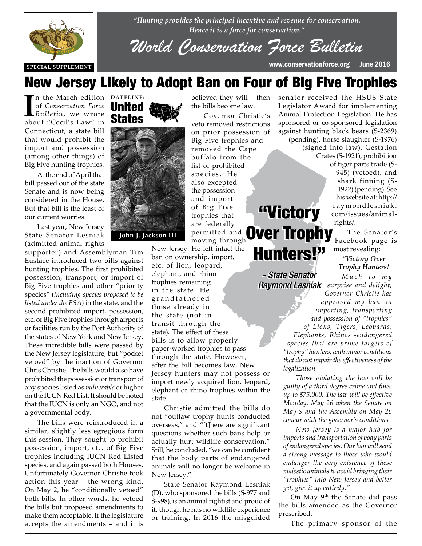

*"Hunting provides the principal incentive and revenue for conservation. Hence it is a force for conservation."*

*World Conservation Force Bulletin*

**SPECIAL SUPPLEMENT** www.conservationforce.org June 2016

## New Jersey Likely to Adopt Ban on Four of Big Five Trophies

In the March edition<br>of *Conservation Force*<br>*Bulletin,* we wrote<br>about "Cecil's Law" in n the March edition **DATELINE:** of *Conservation Force Bulletin*, we wrote Connecticut, a state bill that would prohibit the import and possession (among other things) of Big Five hunting trophies.

At the end of April that bill passed out of the state Senate and is now being considered in the House. But that bill is the least of But that bill is the least of **THE REPORT**<br>The current worries.

Last year, New Jersey State Senator Lesniak State Senator Lesniak<br>(admitted animal rights

supporter) and Assemblyman Tim Eustace introduced two bills against hunting trophies. The first prohibited possession, transport, or import of Big Five trophies and other "priority species" (*including species proposed to be listed under the ESA*) in the state, and the second prohibited import, possession, etc. of Big Five trophies through airports or facilities run by the Port Authority of the states of New York and New Jersey. These incredible bills were passed by the New Jersey legislature, but "pocket vetoed" by the inaction of Governor Chris Christie. The bills would also have prohibited the possession or transport of any species listed as *vulnerable* or higher on the IUCN Red List. It should be noted that the IUCN is only an NGO, and not a governmental body.

The bills were reintroduced in a similar, slightly less egregious form this session. They sought to prohibit possession, import, etc. of Big Five trophies including IUCN Red Listed species, and again passed both Houses. Unfortunately Governor Christie took action this year – the wrong kind. On May 2, he "conditionally vetoed" both bills. In other words, he vetoed the bills but proposed amendments to make them acceptable. If the legislature accepts the amendments – and it is

### United States



the bills become law. Governor Christie's veto removed restrictions on prior possession of Big Five trophies and removed the Cape buffalo from the list of prohibited species. He

believed they will – then

also excepted the possession and import of Big Five trophies that are federally permitted and moving through "Victory "Victory Over Trophy Over Trophy

New Jersey. He left intact the ban on ownership, import,

etc. of lion, leopard, elephant, and rhino trophies remaining in the state. He g r a n d f a t h e r e d those already in the state (not in transit through the state). The effect of these bills is to allow properly paper-worked trophies to pass through the state. However, after the bill becomes law, New Jersey hunters may not possess or import newly acquired lion, leopard, elephant or rhino trophies within the state. Hunters!" Hunters!"

Christie admitted the bills do not "outlaw trophy hunts conducted overseas," and "[t]here are significant questions whether such bans help or actually hurt wildlife conservation." Still, he concluded, "we can be confident that the body parts of endangered animals will no longer be welcome in New Jersey."

State Senator Raymond Lesniak (D), who sponsored the bills (S-977 and S-998), is an animal rightist and proud of it, though he has no wildlife experience or training. In 2016 the misguided senator received the HSUS State Legislator Award for implementing Animal Protection Legislation. He has sponsored or co-sponsored legislation against hunting black bears (S-2369) (pending), horse slaughter (S-1976)

(signed into law), Gestation Crates (S-1921), prohibition of tiger parts trade (S-945) (vetoed), and shark finning (S-1922) (pending). See his website at: http:// raymondlesniak. com/issues/animalrights/.

> The Senator's Facebook page is most revealing:

### *"Victory Over Trophy Hunters!*

*M u c h t o m y surprise and delight, Raymond Lesniak Raymond LesniakGovernor Christie has approved my ban on importing, transporting and possession of "trophies" of Lions, Tigers, Leopards, Elephants, Rhinos -endangered species that are prime targets of "trophy" hunters, with minor conditions that do not impair the effectiveness of the legalization. - State Senator - State Senator* 

> *Those violating the law will be guilty of a third degree crime and fines up to \$75,000. The law will be effective Monday, May 26 when the Senate on May 9 and the Assembly on May 26 concur with the governor's conditions.*

> *New Jersey is a major hub for imports and transportation of body parts of endangered species. Our ban will send a strong message to those who would endanger the very existence of these majestic animals to avoid bringing their "trophies" into New Jersey and better yet, give it up entirely."*

On May 9<sup>th</sup> the Senate did pass the bills amended as the Governor prescribed.

The primary sponsor of the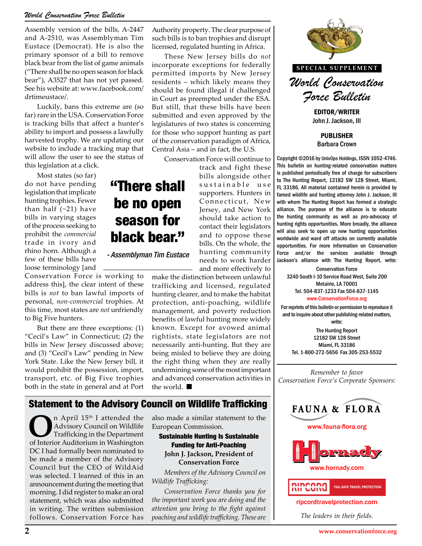#### *World Conservation Force Bulletin*

Assembly version of the bills, A-2447 and A-2510, was Assemblyman Tim Eustace (Democrat). He is also the primary sponsor of a bill to remove black bear from the list of game animals ("There shall be no open season for black bear"), A3527 that has not yet passed. See his website at: www.facebook.com/ drtimeustace/.

Luckily, bans this extreme are (so far) rare in the USA. Conservation Force is tracking bills that affect a hunter's ability to import and possess a lawfully harvested trophy. We are updating our website to include a tracking map that will allow the user to see the status of this legislation at a click.

Most states (so far) do not have pending legislation that implicate hunting trophies. Fewer than half  $(-21)$  have bills in varying stages of the process seeking to prohibit the *commercial* trade in ivory and rhino horn. Although a few of these bills have loose terminology [and

Conservation Force is working to address this], the clear intent of these bills is *not* to ban lawful imports of personal, *non-commercial* trophies. At this time, most states are *not* unfriendly to Big Five hunters.

But there are three exceptions: (1) "Cecil's Law" in Connecticut; (2) the bills in New Jersey discussed above; and (3) "Cecil's Law" pending in New York State. Like the New Jersey bill, it would prohibit the possession, import, transport, etc. of Big Five trophies both in the state in general and at Port

Authority property. The clear purpose of such bills is to ban trophies and disrupt licensed, regulated hunting in Africa.

These New Jersey bills do *not* incorporate exceptions for federally permitted imports by New Jersey residents – which likely means they should be found illegal if challenged in Court as preempted under the ESA. But still, that these bills have been submitted and even approved by the legislatures of two states is concerning for those who support hunting as part of the conservation paradigm of Africa, Central Asia – and in fact, the U.S.

Conservation Force will continue to

track and fight these bills alongside other sustainable use supporters. Hunters in Connecticut, New Jersey, and New York should take action to contact their legislators and to oppose these bills. On the whole, the hunting community needs to work harder and more effectively to

*- Assemblyman Tim Eustace*

"There shall

be no open

season for

black bear."

make the distinction between unlawful trafficking and licensed, regulated hunting clearer, and to make the habitat protection, anti-poaching, wildlife management, and poverty reduction benefits of lawful hunting more widely known. Except for avowed animal rightists, state legislators are not necessarily anti-hunting. But they are being misled to believe they are doing the right thing when they are really undermining some of the most important and advanced conservation activities in the world.

### Statement to the Advisory Council on Wildlife Trafficking

**O**n April 15<sup>th</sup> I attended the Trafficking in the Department of Interior Auditorium in Washington Advisory Council on Wildlife of Interior Auditorium in Washington DC I had formally been nominated to be made a member of the Advisory Council but the CEO of WildAid was selected. I learned of this in an announcement during the meeting that morning. I did register to make an oral statement, which was also submitted in writing. The written submission follows. Conservation Force has

also made a similar statement to the European Commission.

Sustainable Hunting Is Sustainable Funding for Anti-Poaching **John J. Jackson, President of Conservation Force**

*Members of the Advisory Council on Wildlife Trafficking:*

*Conservation Force thanks you for the important work you are doing and the attention you bring to the fight against poaching and wildlife trafficking. These are* 



John J. Jackson, III

PUBLISHER Barbara Crown

Copyright ©2016 by UnivOps Holdings, ISSN 1052-4746. This bulletin on hunting-related conservation matters is published periodically free of charge for subscribers to The Hunting Report, 12182 SW 128 Street, Miami, FL 33186. All material contained herein is provided by famed wildlife and hunting attorney John J. Jackson, III with whom The Hunting Report has formed a strategic alliance. The purpose of the alliance is to educate New York alliance. The purpose of the alliance is to educate<br>e  $\arctan$  to the hunting community as well as pro-advocacy of hunting rights opportunities. More broadly, the alliance will also seek to open up new hunting opportunities worldwide and ward off attacks on currently available **Pose these** worldwide and ward off attacks on currently available<br> **Photographs** opportunities. For more information on Conservation Force and/or the services available through Jackson's alliance with The Hunting Report, write:

> Conservation Force 3240 South I-10 Service Road West, Suite 200 Metairie, LA 70001 Tel. 504-837-1233 Fax 504-837-1145 www.ConservationForce.org

For reprints of this bulletin or permission to reproduce it and to inquire about other publishing-related matters, write:

The Hunting Report 12182 SW 128 Street Miami, FL 33186 Tel. 1-800-272-5656 Fax 305-253-5532

*Remember to favor Conservation Force's Corporate Sponsors:*









ripcordtravelprotection.com

*The leaders in their fields.*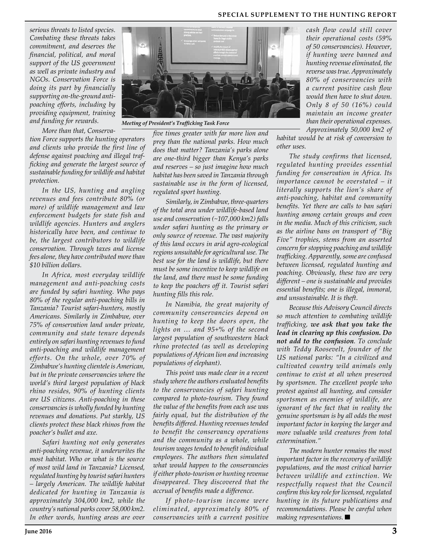#### **SPECIAL SUPPLEMENT TO THE HUNTING REPORT**

*serious threats to listed species. Combating these threats takes commitment, and deserves the financial, political, and moral support of the US government as well as private industry and NGOs. Conservation Force is doing its part by financially supporting on-the-ground antipoaching efforts, including by providing equipment, training and funding for rewards.*

*More than that, Conserva-*

*tion Force supports the hunting operators and clients who provide the first line of defense against poaching and illegal trafficking and generate the largest source of sustainable funding for wildlife and habitat protection.*

*In the US, hunting and angling revenues and fees contribute 80% (or more) of wildlife management and law enforcement budgets for state fish and wildlife agencies. Hunters and anglers historically have been, and continue to be, the largest contributors to wildlife conservation. Through taxes and license fees alone, they have contributed more than \$10 billion dollars.*

*In Africa, most everyday wildlife management and anti-poaching costs are funded by safari hunting. Who pays 80% of the regular anti-poaching bills in Tanzania? Tourist safari-hunters, mostly Americans. Similarly in Zimbabwe, over 75% of conservation land under private, community and state tenure depends entirely on safari hunting revenues to fund anti-poaching and wildlife management efforts. On the whole, over 70% of Zimbabwe's hunting clientele is American, but in the private conservancies where the world's third largest population of black rhino resides, 90% of hunting clients are US citizens. Anti-poaching in these conservancies is wholly funded by hunting revenues and donations. Put starkly, US clients protect these black rhinos from the poacher's bullet and axe.*

*Safari hunting not only generates anti-poaching revenue, it underwrites the most habitat. Who or what is the source of most wild land in Tanzania? Licensed, regulated hunting by tourist safari hunters – largely American. The wildlife habitat dedicated for hunting in Tanzania is approximately 304,000 km2, while the country's national parks cover 58,000 km2. In other words, hunting areas are over* 



*Meeting of President's Trafficking Task Force*

*five times greater with far more lion and prey than the national parks. How much does that matter? Tanzania's parks alone are one-third bigger than Kenya's parks and reserves – so just imagine how much habitat has been saved in Tanzania through sustainable use in the form of licensed, regulated sport hunting.*

*Similarly, in Zimbabwe, three-quarters of the total area under wildlife-based land use and conservation (~107,000 km2) falls under safari hunting as the primary or only source of revenue. The vast majority of this land occurs in arid agro-ecological regions unsuitable for agricultural use. The best use for the land is wildlife, but there must be some incentive to keep wildlife on the land, and there must be some funding to keep the poachers off it. Tourist safari hunting fills this role.*

*In Namibia, the great majority of community conservancies depend on hunting to keep the doors open, the lights on … and 95+% of the second largest population of southwestern black rhino protected (as well as developing populations of African lion and increasing populations of elephant).*

*This point was made clear in a recent study where the authors evaluated benefits to the conservancies of safari hunting compared to photo-tourism. They found the value of the benefits from each use was fairly equal, but the distribution of the benefits differed. Hunting revenues tended to benefit the conservancy operations and the community as a whole, while tourism wages tended to benefit individual employees. The authors then simulated what would happen to the conservancies if either photo-tourism or hunting revenue disappeared. They discovered that the accrual of benefits made a difference.*

*If photo-tourism income were eliminated, approximately 80% of conservancies with a current positive* 

*cash flow could still cover their operational costs (59% of 50 conservancies). However, if hunting were banned and hunting revenue eliminated, the reverse was true. Approximately 80% of conservancies with a current positive cash flow would then have to shut down. Only 8 of 50 (16%) could maintain an income greater than their operational expenses. Approximately 50,000 km2 of* 

*habitat would be at risk of conversion to other uses.*

*The study confirms that licensed, regulated hunting provides essential funding for conservation in Africa. Its importance cannot be overstated – it literally supports the lion's share of anti-poaching, habitat and community benefits. Yet there are calls to ban safari hunting among certain groups and even in the media. Much of this criticism, such as the airline bans on transport of "Big Five" trophies, stems from an asserted concern for stopping poaching and wildlife trafficking. Apparently, some are confused between licensed, regulated hunting and poaching. Obviously, these two are very different – one is sustainable and provides essential benefits; one is illegal, immoral, and unsustainable. It is theft.*

*Because this Advisory Council directs so much attention to combating wildlife trafficking, we ask that you take the lead in clearing up this confusion. Do not add to the confusion. To conclude with Teddy Roosevelt, founder of the US national parks: "In a civilized and cultivated country wild animals only continue to exist at all when preserved by sportsmen. The excellent people who protest against all hunting, and consider sportsmen as enemies of wildlife, are ignorant of the fact that in reality the genuine sportsman is by all odds the most important factor in keeping the larger and more valuable wild creatures from total extermination."*

*The modern hunter remains the most important factor in the recovery of wildlife populations, and the most critical barrier between wildlife and extinction. We respectfully request that the Council confirm this key role for licensed, regulated hunting in its future publications and recommendations. Please be careful when making representations.*